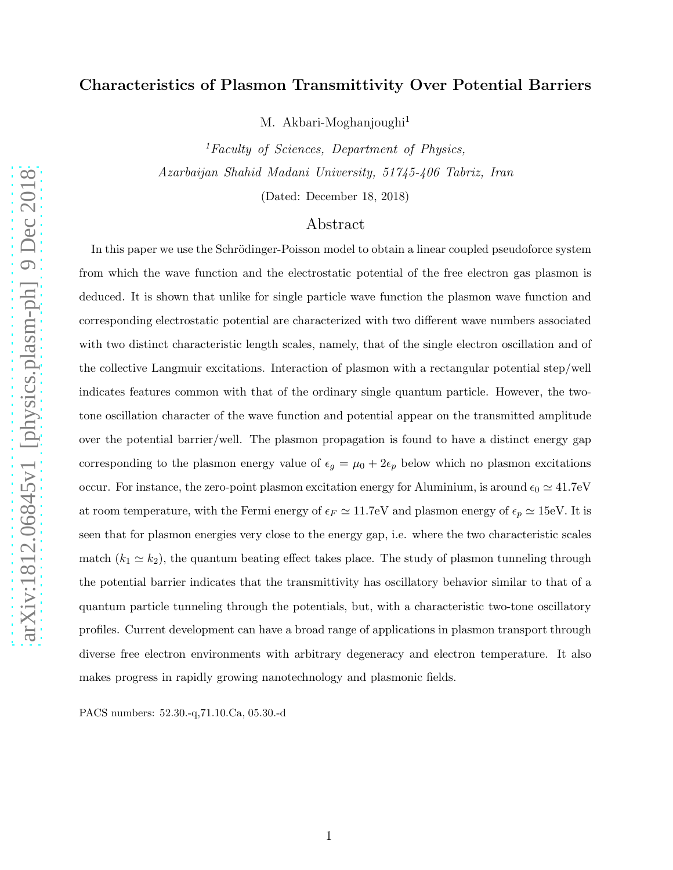# Characteristics of Plasmon Transmittivity Over Potential Barriers

M. Akbari-Moghanjoughi<sup>1</sup>

 ${}^{1}$ Faculty of Sciences, Department of Physics, Azarbaijan Shahid Madani University, 51745-406 Tabriz, Iran

(Dated: December 18, 2018)

## Abstract

In this paper we use the Schrödinger-Poisson model to obtain a linear coupled pseudoforce system from which the wave function and the electrostatic potential of the free electron gas plasmon is deduced. It is shown that unlike for single particle wave function the plasmon wave function and corresponding electrostatic potential are characterized with two different wave numbers associated with two distinct characteristic length scales, namely, that of the single electron oscillation and of the collective Langmuir excitations. Interaction of plasmon with a rectangular potential step/well indicates features common with that of the ordinary single quantum particle. However, the twotone oscillation character of the wave function and potential appear on the transmitted amplitude over the potential barrier/well. The plasmon propagation is found to have a distinct energy gap corresponding to the plasmon energy value of  $\epsilon_g = \mu_0 + 2\epsilon_p$  below which no plasmon excitations occur. For instance, the zero-point plasmon excitation energy for Aluminium, is around  $\epsilon_0 \simeq 41.7$ eV at room temperature, with the Fermi energy of  $\epsilon_F \simeq 11.7$ eV and plasmon energy of  $\epsilon_p \simeq 15$ eV. It is seen that for plasmon energies very close to the energy gap, i.e. where the two characteristic scales match  $(k_1 \simeq k_2)$ , the quantum beating effect takes place. The study of plasmon tunneling through the potential barrier indicates that the transmittivity has oscillatory behavior similar to that of a quantum particle tunneling through the potentials, but, with a characteristic two-tone oscillatory profiles. Current development can have a broad range of applications in plasmon transport through diverse free electron environments with arbitrary degeneracy and electron temperature. It also makes progress in rapidly growing nanotechnology and plasmonic fields.

PACS numbers: 52.30.-q,71.10.Ca, 05.30.-d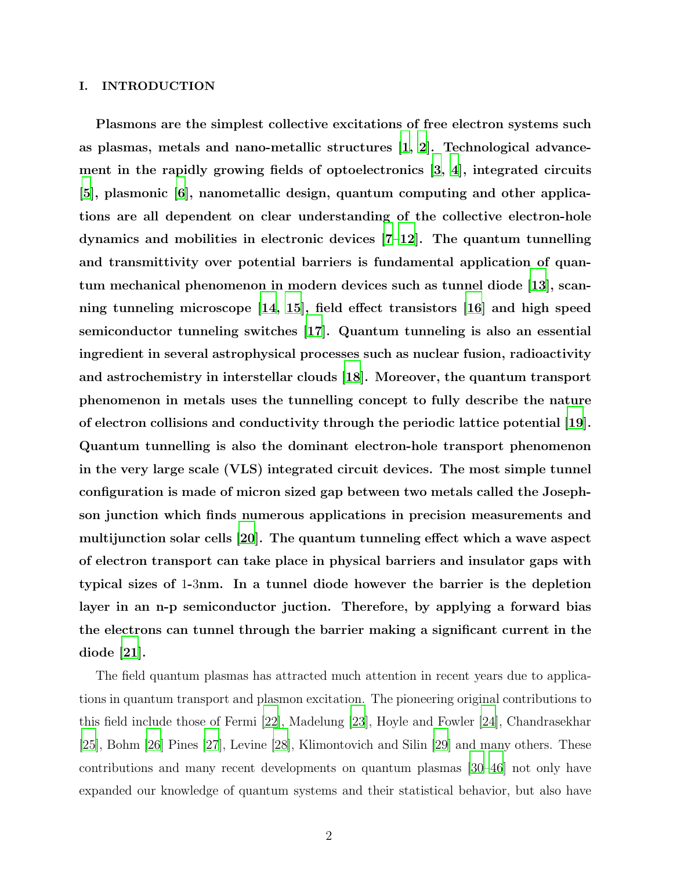#### I. INTRODUCTION

Plasmons are the simplest collective excitations of free electron systems such as plasmas, metals and nano-metallic structures [\[1,](#page-12-0) [2](#page-12-1)]. Technological advancement in the rapidly growing fields of optoelectronics [\[3,](#page-12-2) [4](#page-12-3)], integrated circuits [\[5](#page-12-4)], plasmonic [\[6](#page-12-5)], nanometallic design, quantum computing and other applications are all dependent on clear understanding of the collective electron-hole dynamics and mobilities in electronic devices [\[7](#page-12-6)[–12](#page-12-7)]. The quantum tunnelling and transmittivity over potential barriers is fundamental application of quantum mechanical phenomenon in modern devices such as tunnel diode [\[13\]](#page-13-0), scanning tunneling microscope [\[14](#page-13-1), [15\]](#page-13-2), field effect transistors [\[16](#page-13-3)] and high speed semiconductor tunneling switches [\[17](#page-13-4)]. Quantum tunneling is also an essential ingredient in several astrophysical processes such as nuclear fusion, radioactivity and astrochemistry in interstellar clouds [\[18\]](#page-13-5). Moreover, the quantum transport phenomenon in metals uses the tunnelling concept to fully describe the nature of electron collisions and conductivity through the periodic lattice potential [\[19\]](#page-13-6). Quantum tunnelling is also the dominant electron-hole transport phenomenon in the very large scale (VLS) integrated circuit devices. The most simple tunnel configuration is made of micron sized gap between two metals called the Josephson junction which finds numerous applications in precision measurements and multijunction solar cells [\[20\]](#page-13-7). The quantum tunneling effect which a wave aspect of electron transport can take place in physical barriers and insulator gaps with typical sizes of 1-3nm. In a tunnel diode however the barrier is the depletion layer in an n-p semiconductor juction. Therefore, by applying a forward bias the electrons can tunnel through the barrier making a significant current in the diode [\[21\]](#page-13-8).

The field quantum plasmas has attracted much attention in recent years due to applications in quantum transport and plasmon excitation. The pioneering original contributions to this field include those of Fermi [\[22\]](#page-13-9), Madelung [\[23](#page-13-10)], Hoyle and Fowler [\[24\]](#page-13-11), Chandrasekhar [\[25\]](#page-13-12), Bohm [\[26](#page-13-13)] Pines [\[27](#page-13-14)], Levine [\[28\]](#page-13-15), Klimontovich and Silin [\[29\]](#page-13-16) and many others. These contributions and many recent developments on quantum plasmas [\[30](#page-13-17)[–46\]](#page-14-0) not only have expanded our knowledge of quantum systems and their statistical behavior, but also have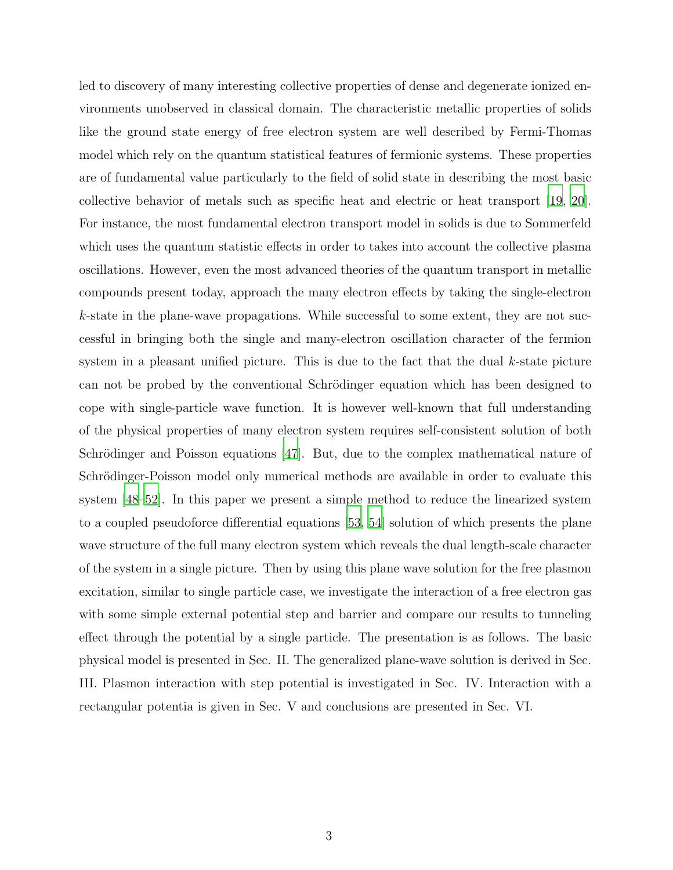led to discovery of many interesting collective properties of dense and degenerate ionized environments unobserved in classical domain. The characteristic metallic properties of solids like the ground state energy of free electron system are well described by Fermi-Thomas model which rely on the quantum statistical features of fermionic systems. These properties are of fundamental value particularly to the field of solid state in describing the most basic collective behavior of metals such as specific heat and electric or heat transport [\[19,](#page-13-6) [20\]](#page-13-7). For instance, the most fundamental electron transport model in solids is due to Sommerfeld which uses the quantum statistic effects in order to takes into account the collective plasma oscillations. However, even the most advanced theories of the quantum transport in metallic compounds present today, approach the many electron effects by taking the single-electron k-state in the plane-wave propagations. While successful to some extent, they are not successful in bringing both the single and many-electron oscillation character of the fermion system in a pleasant unified picture. This is due to the fact that the dual k-state picture can not be probed by the conventional Schrödinger equation which has been designed to cope with single-particle wave function. It is however well-known that full understanding of the physical properties of many electron system requires self-consistent solution of both Schrödinger and Poisson equations  $[47]$ . But, due to the complex mathematical nature of Schrödinger-Poisson model only numerical methods are available in order to evaluate this system [\[48](#page-14-2)[–52\]](#page-14-3). In this paper we present a simple method to reduce the linearized system to a coupled pseudoforce differential equations [\[53](#page-14-4), [54](#page-14-5)] solution of which presents the plane wave structure of the full many electron system which reveals the dual length-scale character of the system in a single picture. Then by using this plane wave solution for the free plasmon excitation, similar to single particle case, we investigate the interaction of a free electron gas with some simple external potential step and barrier and compare our results to tunneling effect through the potential by a single particle. The presentation is as follows. The basic physical model is presented in Sec. II. The generalized plane-wave solution is derived in Sec. III. Plasmon interaction with step potential is investigated in Sec. IV. Interaction with a rectangular potentia is given in Sec. V and conclusions are presented in Sec. VI.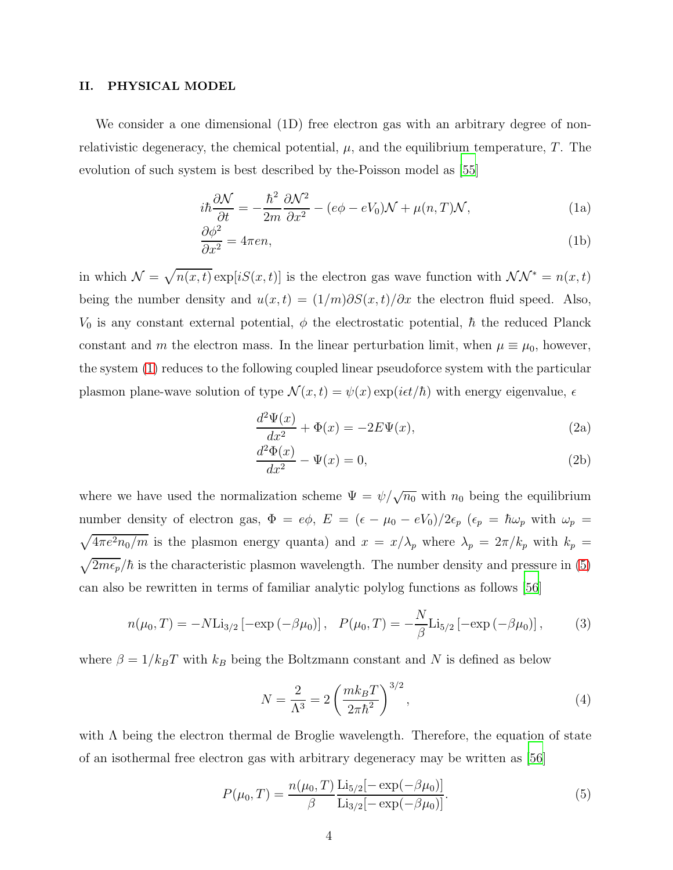#### II. PHYSICAL MODEL

We consider a one dimensional (1D) free electron gas with an arbitrary degree of nonrelativistic degeneracy, the chemical potential,  $\mu$ , and the equilibrium temperature,  $T$ . The evolution of such system is best described by the-Poisson model as [\[55\]](#page-14-6)

<span id="page-3-0"></span>
$$
i\hbar \frac{\partial \mathcal{N}}{\partial t} = -\frac{\hbar^2}{2m} \frac{\partial \mathcal{N}^2}{\partial x^2} - (e\phi - eV_0)\mathcal{N} + \mu(n, T)\mathcal{N},\tag{1a}
$$

$$
\frac{\partial \phi^2}{\partial x^2} = 4\pi en,\tag{1b}
$$

in which  $\mathcal{N} = \sqrt{n(x,t)} \exp[iS(x,t)]$  is the electron gas wave function with  $\mathcal{NN}^* = n(x,t)$ being the number density and  $u(x,t) = (1/m)\partial S(x,t)/\partial x$  the electron fluid speed. Also,  $V_0$  is any constant external potential,  $\phi$  the electrostatic potential,  $\hbar$  the reduced Planck constant and m the electron mass. In the linear perturbation limit, when  $\mu \equiv \mu_0$ , however, the system [\(1\)](#page-3-0) reduces to the following coupled linear pseudoforce system with the particular plasmon plane-wave solution of type  $\mathcal{N}(x,t) = \psi(x) \exp(it\tau/\hbar)$  with energy eigenvalue,  $\epsilon$ 

<span id="page-3-2"></span>
$$
\frac{d^2\Psi(x)}{dx^2} + \Phi(x) = -2E\Psi(x),\tag{2a}
$$

$$
\frac{d^2\Phi(x)}{dx^2} - \Psi(x) = 0,\t\t(2b)
$$

where we have used the normalization scheme  $\Psi = \psi / \sqrt{n_0}$  with  $n_0$  being the equilibrium number density of electron gas,  $\Phi = e\phi$ ,  $E = (\epsilon - \mu_0 - eV_0)/2\epsilon_p$   $(\epsilon_p = \hbar\omega_p$  with  $\omega_p =$  $\sqrt{4\pi e^2 n_0/m}$  is the plasmon energy quanta) and  $x = x/\lambda_p$  where  $\lambda_p = 2\pi/k_p$  with  $k_p =$  $\sqrt{2m\epsilon_p}/\hbar$  is the characteristic plasmon wavelength. The number density and pressure in [\(5\)](#page-3-1) can also be rewritten in terms of familiar analytic polylog functions as follows [\[56](#page-14-7)]

$$
n(\mu_0, T) = -N \text{Li}_{3/2} \left[ -\exp\left(-\beta \mu_0\right) \right], \quad P(\mu_0, T) = -\frac{N}{\beta} \text{Li}_{5/2} \left[ -\exp\left(-\beta \mu_0\right) \right],\tag{3}
$$

where  $\beta = 1/k_B T$  with  $k_B$  being the Boltzmann constant and N is defined as below

$$
N = \frac{2}{\Lambda^3} = 2\left(\frac{mk_B T}{2\pi\hbar^2}\right)^{3/2},
$$
\n(4)

with  $\Lambda$  being the electron thermal de Broglie wavelength. Therefore, the equation of state of an isothermal free electron gas with arbitrary degeneracy may be written as [\[56\]](#page-14-7)

<span id="page-3-1"></span>
$$
P(\mu_0, T) = \frac{n(\mu_0, T)}{\beta} \frac{\text{Li}_{5/2}[-\exp(-\beta \mu_0)]}{\text{Li}_{3/2}[-\exp(-\beta \mu_0)]}.
$$
 (5)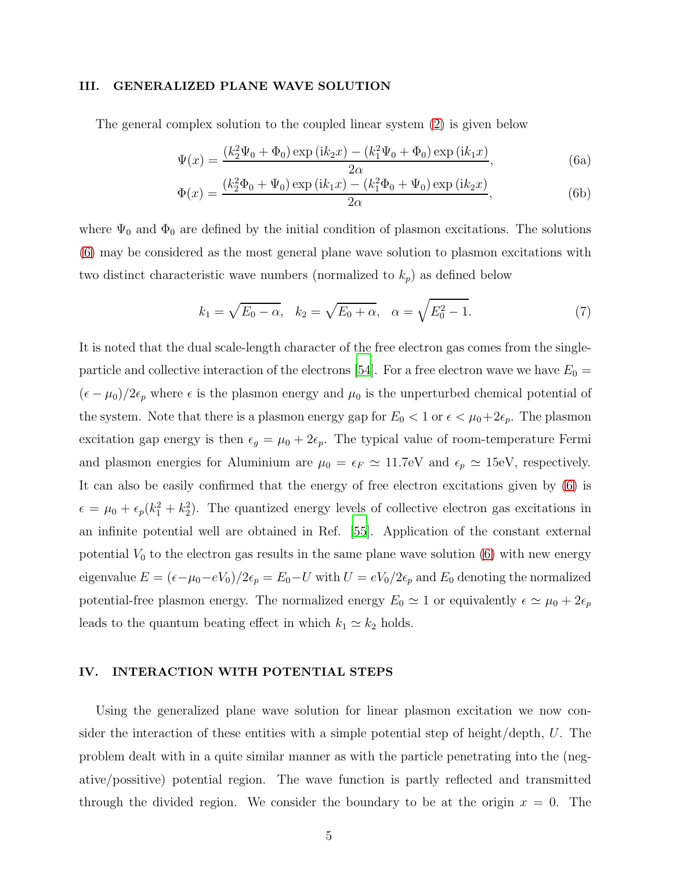#### III. GENERALIZED PLANE WAVE SOLUTION

The general complex solution to the coupled linear system [\(2\)](#page-3-2) is given below

<span id="page-4-0"></span>
$$
\Psi(x) = \frac{(k_2^2 \Psi_0 + \Phi_0) \exp(i k_2 x) - (k_1^2 \Psi_0 + \Phi_0) \exp(i k_1 x)}{2\alpha},
$$
\n(6a)

$$
\Phi(x) = \frac{(k_2^2 \Phi_0 + \Psi_0) \exp(i k_1 x) - (k_1^2 \Phi_0 + \Psi_0) \exp(i k_2 x)}{2\alpha},
$$
\n(6b)

where  $\Psi_0$  and  $\Phi_0$  are defined by the initial condition of plasmon excitations. The solutions [\(6\)](#page-4-0) may be considered as the most general plane wave solution to plasmon excitations with two distinct characteristic wave numbers (normalized to  $k_p$ ) as defined below

$$
k_1 = \sqrt{E_0 - \alpha}, \quad k_2 = \sqrt{E_0 + \alpha}, \quad \alpha = \sqrt{E_0^2 - 1}.
$$
 (7)

It is noted that the dual scale-length character of the free electron gas comes from the single-particle and collective interaction of the electrons [\[54](#page-14-5)]. For a free electron wave we have  $E_0 =$  $(\epsilon - \mu_0)/2\epsilon_p$  where  $\epsilon$  is the plasmon energy and  $\mu_0$  is the unperturbed chemical potential of the system. Note that there is a plasmon energy gap for  $E_0 < 1$  or  $\epsilon < \mu_0 + 2\epsilon_p$ . The plasmon excitation gap energy is then  $\epsilon_g = \mu_0 + 2\epsilon_p$ . The typical value of room-temperature Fermi and plasmon energies for Aluminium are  $\mu_0 = \epsilon_F \simeq 11.7$ eV and  $\epsilon_p \simeq 15$ eV, respectively. It can also be easily confirmed that the energy of free electron excitations given by [\(6\)](#page-4-0) is  $\epsilon = \mu_0 + \epsilon_p (k_1^2 + k_2^2)$ . The quantized energy levels of collective electron gas excitations in an infinite potential well are obtained in Ref. [\[55\]](#page-14-6). Application of the constant external potential  $V_0$  to the electron gas results in the same plane wave solution  $(6)$  with new energy eigenvalue  $E = (\epsilon - \mu_0 - eV_0)/2\epsilon_p = E_0 - U$  with  $U = eV_0/2\epsilon_p$  and  $E_0$  denoting the normalized potential-free plasmon energy. The normalized energy  $E_0 \simeq 1$  or equivalently  $\epsilon \simeq \mu_0 + 2\epsilon_p$ leads to the quantum beating effect in which  $k_1 \simeq k_2$  holds.

#### IV. INTERACTION WITH POTENTIAL STEPS

Using the generalized plane wave solution for linear plasmon excitation we now consider the interaction of these entities with a simple potential step of height/depth, U. The problem dealt with in a quite similar manner as with the particle penetrating into the (negative/possitive) potential region. The wave function is partly reflected and transmitted through the divided region. We consider the boundary to be at the origin  $x = 0$ . The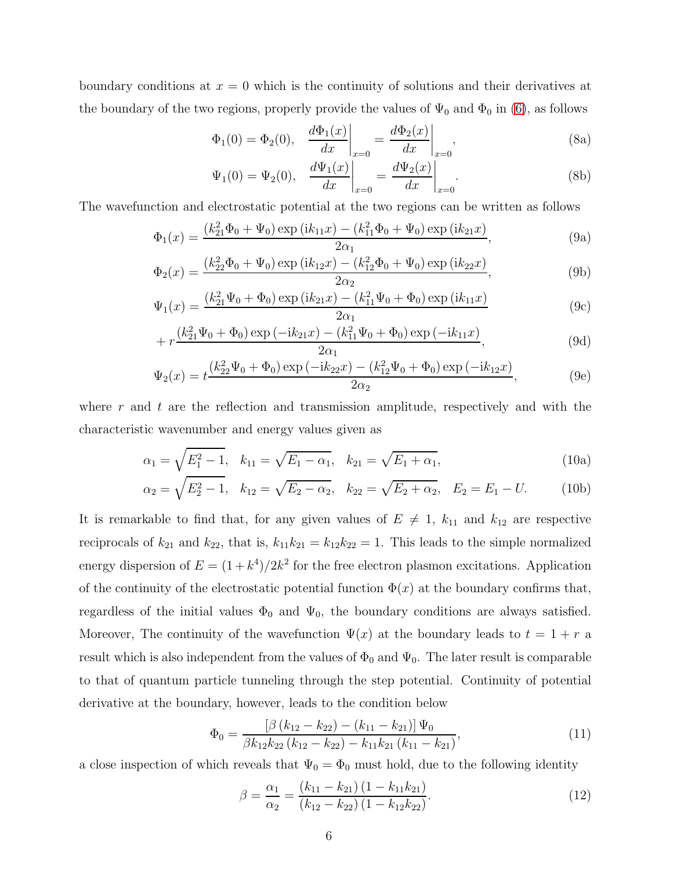boundary conditions at  $x = 0$  which is the continuity of solutions and their derivatives at the boundary of the two regions, properly provide the values of  $\Psi_0$  and  $\Phi_0$  in [\(6\)](#page-4-0), as follows

$$
\Phi_1(0) = \Phi_2(0), \quad \frac{d\Phi_1(x)}{dx}\bigg|_{x=0} = \frac{d\Phi_2(x)}{dx}\bigg|_{x=0},\tag{8a}
$$

$$
\Psi_1(0) = \Psi_2(0), \quad \frac{d\Psi_1(x)}{dx}\bigg|_{x=0} = \frac{d\Psi_2(x)}{dx}\bigg|_{x=0}.
$$
\n(8b)

The wavefunction and electrostatic potential at the two regions can be written as follows

$$
\Phi_1(x) = \frac{(k_{21}^2 \Phi_0 + \Psi_0) \exp(i k_{11} x) - (k_{11}^2 \Phi_0 + \Psi_0) \exp(i k_{21} x)}{2 \alpha_1},
$$
\n(9a)

$$
\Phi_2(x) = \frac{(k_{22}^2 \Phi_0 + \Psi_0) \exp(i k_{12} x) - (k_{12}^2 \Phi_0 + \Psi_0) \exp(i k_{22} x)}{2 \alpha_2},
$$
\n(9b)

$$
\Psi_1(x) = \frac{(k_{21}^2 \Psi_0 + \Phi_0) \exp(i k_{21} x) - (k_{11}^2 \Psi_0 + \Phi_0) \exp(i k_{11} x)}{2 \alpha_1}
$$
(9c)

$$
+ r \frac{(k_{21}^2 \Psi_0 + \Phi_0) \exp(-ik_{21}x) - (k_{11}^2 \Psi_0 + \Phi_0) \exp(-ik_{11}x)}{2\alpha_1}, \tag{9d}
$$

$$
\Psi_2(x) = t \frac{(k_{22}^2 \Psi_0 + \Phi_0) \exp(-ik_{22}x) - (k_{12}^2 \Psi_0 + \Phi_0) \exp(-ik_{12}x)}{2\alpha_2},
$$
\n(9e)

where r and t are the reflection and transmission amplitude, respectively and with the characteristic wavenumber and energy values given as

$$
\alpha_1 = \sqrt{E_1^2 - 1}, \quad k_{11} = \sqrt{E_1 - \alpha_1}, \quad k_{21} = \sqrt{E_1 + \alpha_1}, \tag{10a}
$$

$$
\alpha_2 = \sqrt{E_2^2 - 1}, \quad k_{12} = \sqrt{E_2 - \alpha_2}, \quad k_{22} = \sqrt{E_2 + \alpha_2}, \quad E_2 = E_1 - U. \tag{10b}
$$

It is remarkable to find that, for any given values of  $E \neq 1$ ,  $k_{11}$  and  $k_{12}$  are respective reciprocals of  $k_{21}$  and  $k_{22}$ , that is,  $k_{11}k_{21} = k_{12}k_{22} = 1$ . This leads to the simple normalized energy dispersion of  $E = (1 + k^4)/2k^2$  for the free electron plasmon excitations. Application of the continuity of the electrostatic potential function  $\Phi(x)$  at the boundary confirms that, regardless of the initial values  $\Phi_0$  and  $\Psi_0$ , the boundary conditions are always satisfied. Moreover, The continuity of the wavefunction  $\Psi(x)$  at the boundary leads to  $t = 1 + r$  a result which is also independent from the values of  $\Phi_0$  and  $\Psi_0$ . The later result is comparable to that of quantum particle tunneling through the step potential. Continuity of potential derivative at the boundary, however, leads to the condition below

$$
\Phi_0 = \frac{\left[\beta \left(k_{12} - k_{22}\right) - \left(k_{11} - k_{21}\right)\right] \Psi_0}{\beta k_{12} k_{22} \left(k_{12} - k_{22}\right) - k_{11} k_{21} \left(k_{11} - k_{21}\right)},\tag{11}
$$

a close inspection of which reveals that  $\Psi_0 = \Phi_0$  must hold, due to the following identity

$$
\beta = \frac{\alpha_1}{\alpha_2} = \frac{(k_{11} - k_{21})(1 - k_{11}k_{21})}{(k_{12} - k_{22})(1 - k_{12}k_{22})}.
$$
\n(12)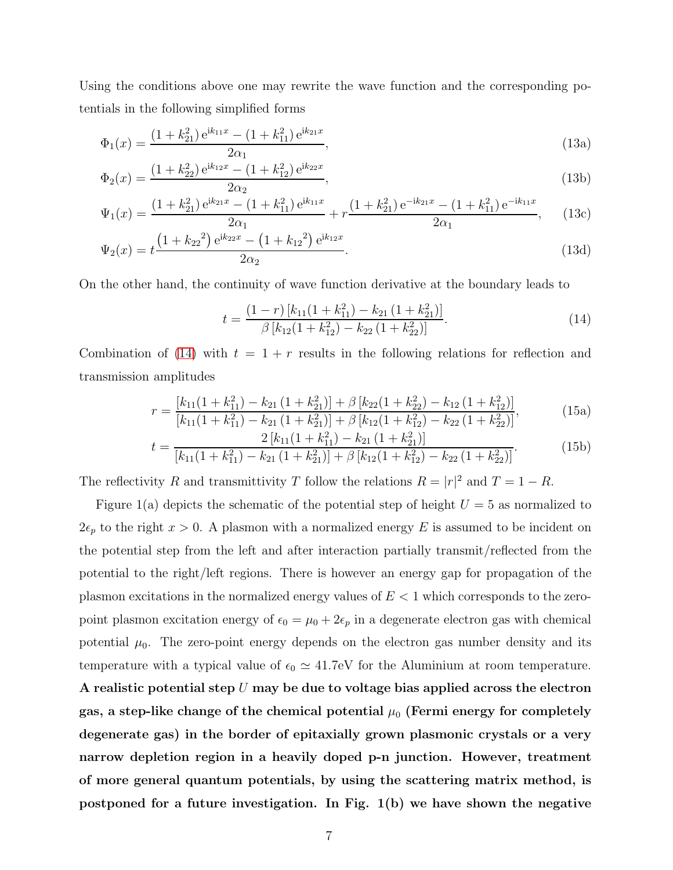Using the conditions above one may rewrite the wave function and the corresponding potentials in the following simplified forms

$$
\Phi_1(x) = \frac{(1 + k_{21}^2) e^{ik_{11}x} - (1 + k_{11}^2) e^{ik_{21}x}}{2\alpha_1},
$$
\n(13a)

$$
\Phi_2(x) = \frac{(1 + k_{22}^2) e^{ik_{12}x} - (1 + k_{12}^2) e^{ik_{22}x}}{2\alpha_2},\tag{13b}
$$

$$
\Psi_1(x) = \frac{(1 + k_{21}^2) e^{ik_{21}x} - (1 + k_{11}^2) e^{ik_{11}x}}{2\alpha_1} + r \frac{(1 + k_{21}^2) e^{-ik_{21}x} - (1 + k_{11}^2) e^{-ik_{11}x}}{2\alpha_1},
$$
(13c)

$$
\Psi_2(x) = t \frac{\left(1 + k_{22}^2\right) e^{ik_{22}x} - \left(1 + k_{12}^2\right) e^{ik_{12}x}}{2\alpha_2}.
$$
\n(13d)

On the other hand, the continuity of wave function derivative at the boundary leads to

<span id="page-6-0"></span>
$$
t = \frac{(1-r)\left[k_{11}(1+k_{11}^2) - k_{21}(1+k_{21}^2)\right]}{\beta\left[k_{12}(1+k_{12}^2) - k_{22}(1+k_{22}^2)\right]}.
$$
\n(14)

Combination of [\(14\)](#page-6-0) with  $t = 1 + r$  results in the following relations for reflection and transmission amplitudes

$$
r = \frac{\left[k_{11}(1 + k_{11}^2) - k_{21}(1 + k_{21}^2)\right] + \beta \left[k_{22}(1 + k_{22}^2) - k_{12}(1 + k_{12}^2)\right]}{\left[k_{11}(1 + k_{11}^2) - k_{21}(1 + k_{21}^2)\right] + \beta \left[k_{12}(1 + k_{12}^2) - k_{22}(1 + k_{22}^2)\right]},
$$
(15a)

$$
t = \frac{2 [k_{11}(1 + k_{11}^2) - k_{21}(1 + k_{21}^2)]}{[k_{11}(1 + k_{11}^2) - k_{21}(1 + k_{21}^2)] + \beta [k_{12}(1 + k_{12}^2) - k_{22}(1 + k_{22}^2)]}.
$$
(15b)

The reflectivity R and transmittivity T follow the relations  $R = |r|^2$  and  $T = 1 - R$ .

Figure 1(a) depicts the schematic of the potential step of height  $U = 5$  as normalized to  $2\epsilon_p$  to the right  $x > 0$ . A plasmon with a normalized energy E is assumed to be incident on the potential step from the left and after interaction partially transmit/reflected from the potential to the right/left regions. There is however an energy gap for propagation of the plasmon excitations in the normalized energy values of  $E < 1$  which corresponds to the zeropoint plasmon excitation energy of  $\epsilon_0 = \mu_0 + 2\epsilon_p$  in a degenerate electron gas with chemical potential  $\mu_0$ . The zero-point energy depends on the electron gas number density and its temperature with a typical value of  $\epsilon_0 \simeq 41.7$ eV for the Aluminium at room temperature. A realistic potential step  $U$  may be due to voltage bias applied across the electron gas, a step-like change of the chemical potential  $\mu_0$  (Fermi energy for completely degenerate gas) in the border of epitaxially grown plasmonic crystals or a very narrow depletion region in a heavily doped p-n junction. However, treatment of more general quantum potentials, by using the scattering matrix method, is postponed for a future investigation. In Fig. 1(b) we have shown the negative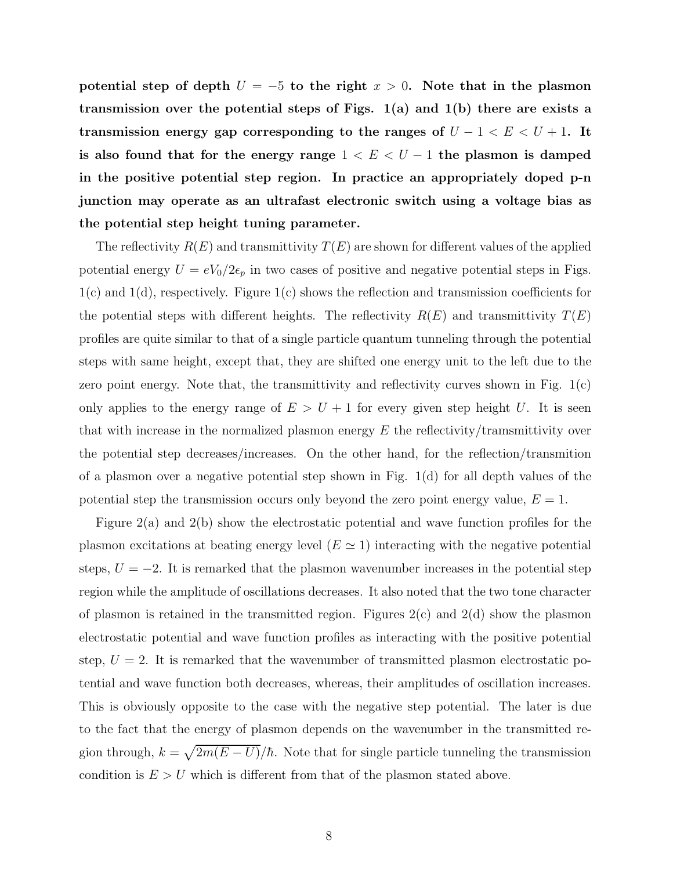potential step of depth  $U = -5$  to the right  $x > 0$ . Note that in the plasmon transmission over the potential steps of Figs.  $1(a)$  and  $1(b)$  there are exists a transmission energy gap corresponding to the ranges of  $U - 1 < E < U + 1$ . It is also found that for the energy range  $1 < E < U - 1$  the plasmon is damped in the positive potential step region. In practice an appropriately doped p-n junction may operate as an ultrafast electronic switch using a voltage bias as the potential step height tuning parameter.

The reflectivity  $R(E)$  and transmittivity  $T(E)$  are shown for different values of the applied potential energy  $U = eV_0/2\epsilon_p$  in two cases of positive and negative potential steps in Figs. 1(c) and 1(d), respectively. Figure 1(c) shows the reflection and transmission coefficients for the potential steps with different heights. The reflectivity  $R(E)$  and transmittivity  $T(E)$ profiles are quite similar to that of a single particle quantum tunneling through the potential steps with same height, except that, they are shifted one energy unit to the left due to the zero point energy. Note that, the transmittivity and reflectivity curves shown in Fig. 1(c) only applies to the energy range of  $E > U + 1$  for every given step height U. It is seen that with increase in the normalized plasmon energy  $E$  the reflectivity/tramsmittivity over the potential step decreases/increases. On the other hand, for the reflection/transmition of a plasmon over a negative potential step shown in Fig.  $1(d)$  for all depth values of the potential step the transmission occurs only beyond the zero point energy value,  $E = 1$ .

Figure 2(a) and 2(b) show the electrostatic potential and wave function profiles for the plasmon excitations at beating energy level  $(E \simeq 1)$  interacting with the negative potential steps,  $U = -2$ . It is remarked that the plasmon wavenumber increases in the potential step region while the amplitude of oscillations decreases. It also noted that the two tone character of plasmon is retained in the transmitted region. Figures  $2(c)$  and  $2(d)$  show the plasmon electrostatic potential and wave function profiles as interacting with the positive potential step,  $U = 2$ . It is remarked that the wavenumber of transmitted plasmon electrostatic potential and wave function both decreases, whereas, their amplitudes of oscillation increases. This is obviously opposite to the case with the negative step potential. The later is due to the fact that the energy of plasmon depends on the wavenumber in the transmitted region through,  $k = \sqrt{2m(E - U)}/\hbar$ . Note that for single particle tunneling the transmission condition is  $E > U$  which is different from that of the plasmon stated above.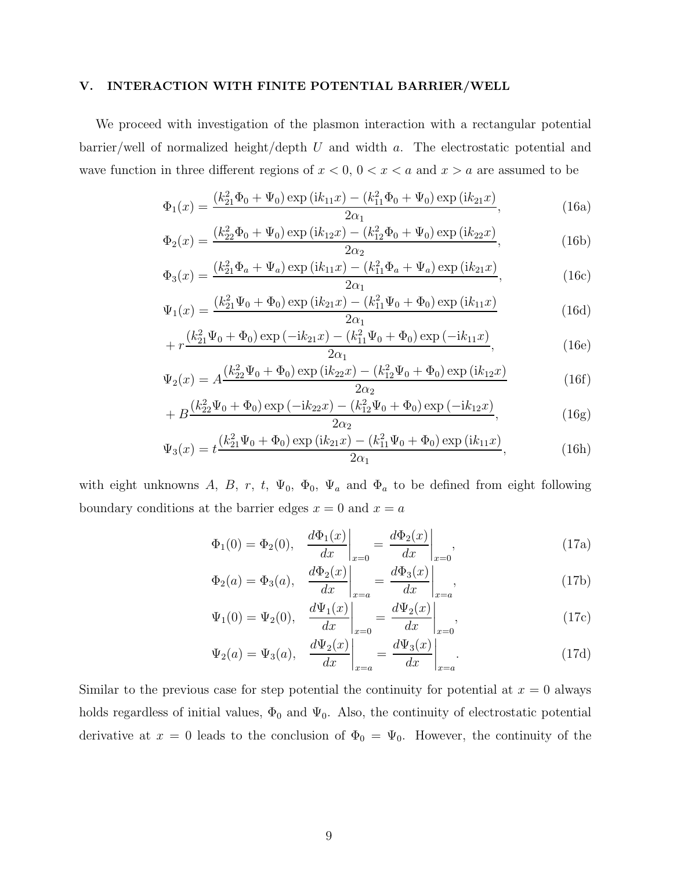### V. INTERACTION WITH FINITE POTENTIAL BARRIER/WELL

We proceed with investigation of the plasmon interaction with a rectangular potential  $barrier$ , well of normalized height/depth U and width a. The electrostatic potential and wave function in three different regions of  $x < 0$ ,  $0 < x < a$  and  $x > a$  are assumed to be

$$
\Phi_1(x) = \frac{(k_{21}^2 \Phi_0 + \Psi_0) \exp(i k_{11} x) - (k_{11}^2 \Phi_0 + \Psi_0) \exp(i k_{21} x)}{2 \alpha_1},
$$
\n(16a)

$$
\Phi_2(x) = \frac{(k_{22}^2 \Phi_0 + \Psi_0) \exp(i k_{12} x) - (k_{12}^2 \Phi_0 + \Psi_0) \exp(i k_{22} x)}{2 \alpha_2},
$$
\n(16b)

$$
\Phi_3(x) = \frac{(k_{21}^2 \Phi_a + \Psi_a) \exp(i k_{11} x) - (k_{11}^2 \Phi_a + \Psi_a) \exp(i k_{21} x)}{2 \alpha_1},
$$
\n(16c)

$$
\Psi_1(x) = \frac{(k_{21}^2 \Psi_0 + \Phi_0) \exp(i k_{21} x) - (k_{11}^2 \Psi_0 + \Phi_0) \exp(i k_{11} x)}{2 \alpha_1}
$$
(16d)

$$
+ r \frac{(k_{21}^2 \Psi_0 + \Phi_0) \exp(-ik_{21}x) - (k_{11}^2 \Psi_0 + \Phi_0) \exp(-ik_{11}x)}{2\alpha_1}, \tag{16e}
$$

$$
\Psi_2(x) = A \frac{(k_{22}^2 \Psi_0 + \Phi_0) \exp(i k_{22} x) - (k_{12}^2 \Psi_0 + \Phi_0) \exp(i k_{12} x)}{2 \alpha_2}
$$
(16f)

$$
+ B \frac{(k_{22}^2 \Psi_0 + \Phi_0) \exp(-ik_{22}x) - (k_{12}^2 \Psi_0 + \Phi_0) \exp(-ik_{12}x)}{2\alpha_2}, \qquad (16g)
$$

$$
\Psi_3(x) = t \frac{(k_{21}^2 \Psi_0 + \Phi_0) \exp(i k_{21} x) - (k_{11}^2 \Psi_0 + \Phi_0) \exp(i k_{11} x)}{2 \alpha_1},
$$
\n(16h)

with eight unknowns A, B, r, t,  $\Psi_0$ ,  $\Phi_0$ ,  $\Psi_a$  and  $\Phi_a$  to be defined from eight following boundary conditions at the barrier edges  $x = 0$  and  $x = a$ 

$$
\Phi_1(0) = \Phi_2(0), \quad \frac{d\Phi_1(x)}{dx}\bigg|_{x=0} = \frac{d\Phi_2(x)}{dx}\bigg|_{x=0},\tag{17a}
$$

$$
\Phi_2(a) = \Phi_3(a), \quad \frac{d\Phi_2(x)}{dx}\bigg|_{x=a} = \frac{d\Phi_3(x)}{dx}\bigg|_{x=a},
$$
\n(17b)

$$
\Psi_1(0) = \Psi_2(0), \quad \frac{d\Psi_1(x)}{dx}\bigg|_{x=0} = \frac{d\Psi_2(x)}{dx}\bigg|_{x=0},\tag{17c}
$$

$$
\Psi_2(a) = \Psi_3(a), \quad \frac{d\Psi_2(x)}{dx}\bigg|_{x=a} = \frac{d\Psi_3(x)}{dx}\bigg|_{x=a}.
$$
\n(17d)

Similar to the previous case for step potential the continuity for potential at  $x = 0$  always holds regardless of initial values,  $\Phi_0$  and  $\Psi_0$ . Also, the continuity of electrostatic potential derivative at  $x = 0$  leads to the conclusion of  $\Phi_0 = \Psi_0$ . However, the continuity of the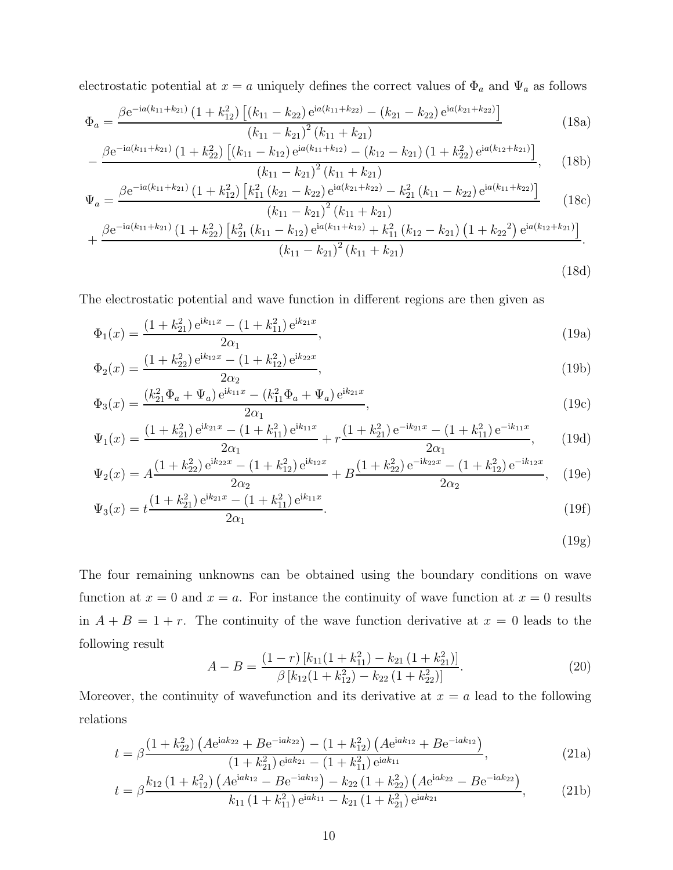electrostatic potential at  $x = a$  uniquely defines the correct values of  $\Phi_a$  and  $\Psi_a$  as follows

$$
\Phi_a = \frac{\beta e^{-ia(k_{11}+k_{21})} \left(1+k_{12}^2\right) \left[ (k_{11}-k_{22}) e^{ia(k_{11}+k_{22})} - (k_{21}-k_{22}) e^{ia(k_{21}+k_{22})} \right]}{(k_{11}-k_{21})^2 (k_{11}+k_{21})}
$$
(18a)

$$
-\frac{\beta e^{-ia(k_{11}+k_{21})}\left(1+k_{22}^2\right)\left[\left(k_{11}-k_{12}\right)e^{ia(k_{11}+k_{12})}-\left(k_{12}-k_{21}\right)\left(1+k_{22}^2\right)e^{ia(k_{12}+k_{21})}\right]}{\left(k_{11}-k_{21}\right)^2\left(k_{11}+k_{21}\right)},\qquad(18b)
$$

$$
\Psi_a = \frac{\beta e^{-ia(k_{11}+k_{21})} \left(1+k_{12}^2\right) \left[k_{11}^2 \left(k_{21}-k_{22}\right) e^{ia(k_{21}+k_{22})} - k_{21}^2 \left(k_{11}-k_{22}\right) e^{ia(k_{11}+k_{22})}\right]}{\left(k_{11}-k_{21}\right)^2 \left(k_{11}+k_{21}\right)}\tag{18c}
$$

$$
(k_{11} - k_{21})^2 (k_{11} + k_{21})
$$
  
+ 
$$
\frac{\beta e^{-ia(k_{11} + k_{21})} (1 + k_{22}^2) [k_{21}^2 (k_{11} - k_{12}) e^{ia(k_{11} + k_{12})} + k_{11}^2 (k_{12} - k_{21}) (1 + k_{22}^2) e^{ia(k_{12} + k_{21})}]}{(k_{11} - k_{21})^2 (k_{11} + k_{21})}.
$$
\n(18d)

The electrostatic potential and wave function in different regions are then given as

$$
\Phi_1(x) = \frac{(1 + k_{21}^2) e^{ik_{11}x} - (1 + k_{11}^2) e^{ik_{21}x}}{2\alpha_1},
$$
\n(19a)

$$
\Phi_2(x) = \frac{(1 + k_{22}^2) e^{ik_{12}x} - (1 + k_{12}^2) e^{ik_{22}x}}{2\alpha_2},\tag{19b}
$$

$$
\Phi_3(x) = \frac{(k_{21}^2 \Phi_a + \Psi_a) e^{ik_{11}x} - (k_{11}^2 \Phi_a + \Psi_a) e^{ik_{21}x}}{2\alpha_1},
$$
\n(19c)

$$
\Psi_1(x) = \frac{(1 + k_{21}^2) e^{ik_{21}x} - (1 + k_{11}^2) e^{ik_{11}x}}{2\alpha_1} + r \frac{(1 + k_{21}^2) e^{-ik_{21}x} - (1 + k_{11}^2) e^{-ik_{11}x}}{2\alpha_1},
$$
(19d)

$$
\Psi_2(x) = A \frac{(1 + k_{22}^2) e^{ik_{22}x} - (1 + k_{12}^2) e^{ik_{12}x}}{2\alpha_2} + B \frac{(1 + k_{22}^2) e^{-ik_{22}x} - (1 + k_{12}^2) e^{-ik_{12}x}}{2\alpha_2},
$$
(19e)

$$
\Psi_3(x) = t \frac{(1 + k_{21}^2) e^{ik_{21}x} - (1 + k_{11}^2) e^{ik_{11}x}}{2\alpha_1}.
$$
\n(19f)

$$
(19g)
$$

The four remaining unknowns can be obtained using the boundary conditions on wave function at  $x = 0$  and  $x = a$ . For instance the continuity of wave function at  $x = 0$  results in  $A + B = 1 + r$ . The continuity of the wave function derivative at  $x = 0$  leads to the following result

$$
A - B = \frac{(1 - r) [k_{11}(1 + k_{11}^2) - k_{21}(1 + k_{21}^2)]}{\beta [k_{12}(1 + k_{12}^2) - k_{22}(1 + k_{22}^2)]}.
$$
\n(20)

Moreover, the continuity of wavefunction and its derivative at  $x = a$  lead to the following relations

$$
t = \beta \frac{\left(1 + k_{22}^2\right) \left(A e^{iak_{22}} + B e^{-iak_{22}}\right) - \left(1 + k_{12}^2\right) \left(A e^{iak_{12}} + B e^{-iak_{12}}\right)}{\left(1 + k_{21}^2\right) e^{iak_{21}} - \left(1 + k_{11}^2\right) e^{iak_{11}}},\tag{21a}
$$

$$
t = \beta \frac{k_{12} (1 + k_{12}^2) \left( A e^{i a k_{12}} - B e^{-i a k_{12}} \right) - k_{22} (1 + k_{22}^2) \left( A e^{i a k_{22}} - B e^{-i a k_{22}} \right)}{k_{11} (1 + k_{11}^2) e^{i a k_{11}} - k_{21} (1 + k_{21}^2) e^{i a k_{21}}},
$$
(21b)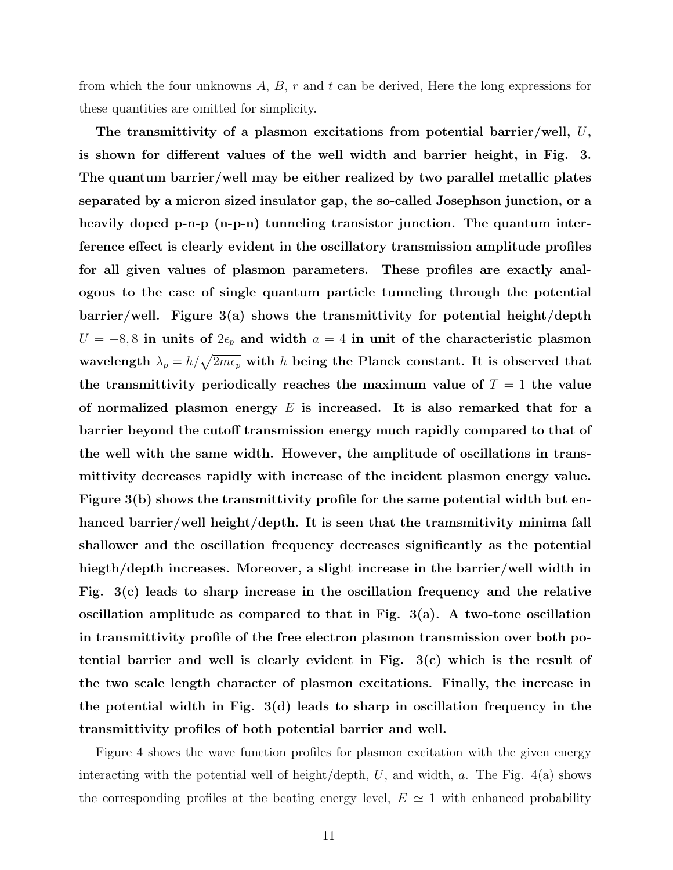from which the four unknowns  $A, B, r$  and t can be derived, Here the long expressions for these quantities are omitted for simplicity.

The transmittivity of a plasmon excitations from potential barrier/well, U, is shown for different values of the well width and barrier height, in Fig. 3. The quantum barrier/well may be either realized by two parallel metallic plates separated by a micron sized insulator gap, the so-called Josephson junction, or a heavily doped p-n-p (n-p-n) tunneling transistor junction. The quantum interference effect is clearly evident in the oscillatory transmission amplitude profiles for all given values of plasmon parameters. These profiles are exactly analogous to the case of single quantum particle tunneling through the potential barrier/well. Figure 3(a) shows the transmittivity for potential height/depth  $U = -8, 8$  in units of  $2\epsilon_p$  and width  $a = 4$  in unit of the characteristic plasmon wavelength  $\lambda_p = h/\sqrt{2m\epsilon_p}$  with h being the Planck constant. It is observed that the transmittivity periodically reaches the maximum value of  $T = 1$  the value of normalized plasmon energy  $E$  is increased. It is also remarked that for a barrier beyond the cutoff transmission energy much rapidly compared to that of the well with the same width. However, the amplitude of oscillations in transmittivity decreases rapidly with increase of the incident plasmon energy value. Figure 3(b) shows the transmittivity profile for the same potential width but enhanced barrier/well height/depth. It is seen that the tramsmitivity minima fall shallower and the oscillation frequency decreases significantly as the potential hiegth/depth increases. Moreover, a slight increase in the barrier/well width in Fig. 3(c) leads to sharp increase in the oscillation frequency and the relative oscillation amplitude as compared to that in Fig. 3(a). A two-tone oscillation in transmittivity profile of the free electron plasmon transmission over both potential barrier and well is clearly evident in Fig. 3(c) which is the result of the two scale length character of plasmon excitations. Finally, the increase in the potential width in Fig. 3(d) leads to sharp in oscillation frequency in the transmittivity profiles of both potential barrier and well.

Figure 4 shows the wave function profiles for plasmon excitation with the given energy interacting with the potential well of height/depth,  $U$ , and width,  $a$ . The Fig. 4(a) shows the corresponding profiles at the beating energy level,  $E \simeq 1$  with enhanced probability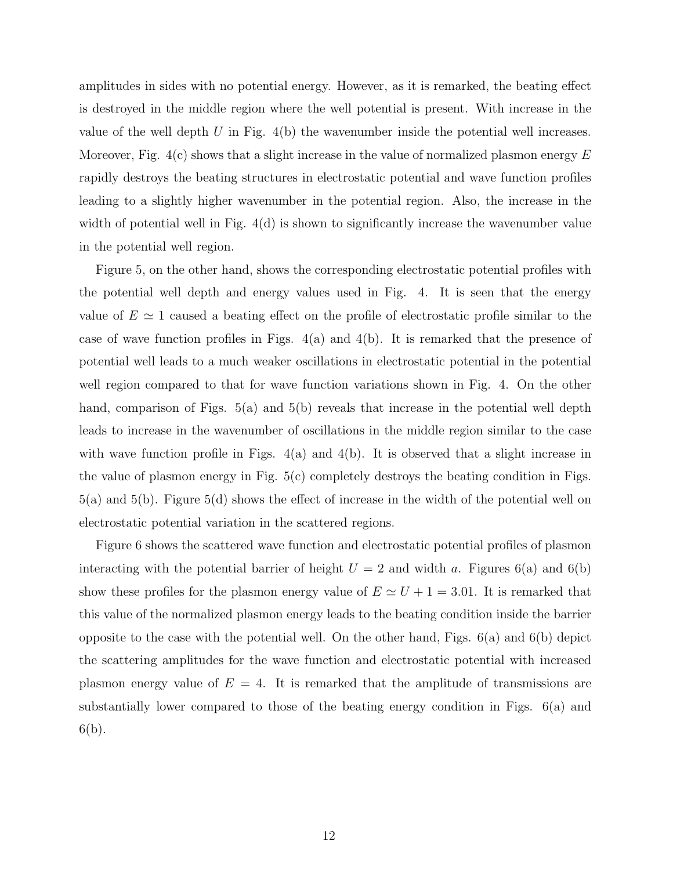amplitudes in sides with no potential energy. However, as it is remarked, the beating effect is destroyed in the middle region where the well potential is present. With increase in the value of the well depth  $U$  in Fig.  $4(b)$  the wavenumber inside the potential well increases. Moreover, Fig.  $4(c)$  shows that a slight increase in the value of normalized plasmon energy E rapidly destroys the beating structures in electrostatic potential and wave function profiles leading to a slightly higher wavenumber in the potential region. Also, the increase in the width of potential well in Fig. 4(d) is shown to significantly increase the wavenumber value in the potential well region.

Figure 5, on the other hand, shows the corresponding electrostatic potential profiles with the potential well depth and energy values used in Fig. 4. It is seen that the energy value of  $E \simeq 1$  caused a beating effect on the profile of electrostatic profile similar to the case of wave function profiles in Figs.  $4(a)$  and  $4(b)$ . It is remarked that the presence of potential well leads to a much weaker oscillations in electrostatic potential in the potential well region compared to that for wave function variations shown in Fig. 4. On the other hand, comparison of Figs. 5(a) and 5(b) reveals that increase in the potential well depth leads to increase in the wavenumber of oscillations in the middle region similar to the case with wave function profile in Figs.  $4(a)$  and  $4(b)$ . It is observed that a slight increase in the value of plasmon energy in Fig. 5(c) completely destroys the beating condition in Figs. 5(a) and 5(b). Figure 5(d) shows the effect of increase in the width of the potential well on electrostatic potential variation in the scattered regions.

Figure 6 shows the scattered wave function and electrostatic potential profiles of plasmon interacting with the potential barrier of height  $U = 2$  and width a. Figures 6(a) and 6(b) show these profiles for the plasmon energy value of  $E \simeq U + 1 = 3.01$ . It is remarked that this value of the normalized plasmon energy leads to the beating condition inside the barrier opposite to the case with the potential well. On the other hand, Figs. 6(a) and 6(b) depict the scattering amplitudes for the wave function and electrostatic potential with increased plasmon energy value of  $E = 4$ . It is remarked that the amplitude of transmissions are substantially lower compared to those of the beating energy condition in Figs. 6(a) and  $6(b)$ .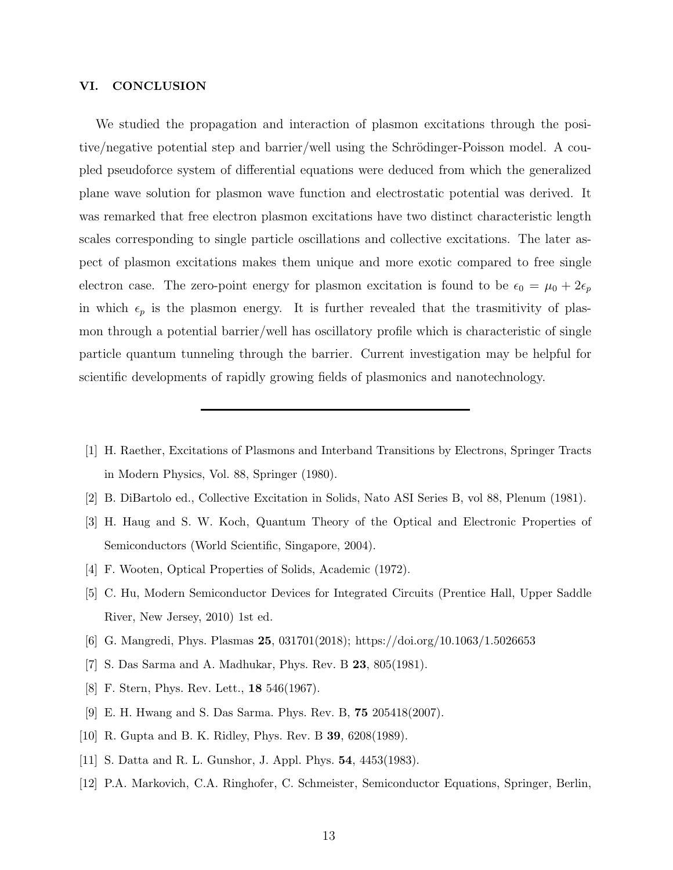#### VI. CONCLUSION

We studied the propagation and interaction of plasmon excitations through the positive/negative potential step and barrier/well using the Schrödinger-Poisson model. A coupled pseudoforce system of differential equations were deduced from which the generalized plane wave solution for plasmon wave function and electrostatic potential was derived. It was remarked that free electron plasmon excitations have two distinct characteristic length scales corresponding to single particle oscillations and collective excitations. The later aspect of plasmon excitations makes them unique and more exotic compared to free single electron case. The zero-point energy for plasmon excitation is found to be  $\epsilon_0 = \mu_0 + 2\epsilon_p$ in which  $\epsilon_p$  is the plasmon energy. It is further revealed that the trasmitivity of plasmon through a potential barrier/well has oscillatory profile which is characteristic of single particle quantum tunneling through the barrier. Current investigation may be helpful for scientific developments of rapidly growing fields of plasmonics and nanotechnology.

- <span id="page-12-0"></span>[1] H. Raether, Excitations of Plasmons and Interband Transitions by Electrons, Springer Tracts in Modern Physics, Vol. 88, Springer (1980).
- <span id="page-12-2"></span><span id="page-12-1"></span>[2] B. DiBartolo ed., Collective Excitation in Solids, Nato ASI Series B, vol 88, Plenum (1981).
- [3] H. Haug and S. W. Koch, Quantum Theory of the Optical and Electronic Properties of Semiconductors (World Scientific, Singapore, 2004).
- <span id="page-12-3"></span>[4] F. Wooten, Optical Properties of Solids, Academic (1972).
- <span id="page-12-4"></span>[5] C. Hu, Modern Semiconductor Devices for Integrated Circuits (Prentice Hall, Upper Saddle River, New Jersey, 2010) 1st ed.
- <span id="page-12-5"></span>[6] G. Mangredi, Phys. Plasmas 25, 031701(2018); https://doi.org/10.1063/1.5026653
- <span id="page-12-6"></span>[7] S. Das Sarma and A. Madhukar, Phys. Rev. B 23, 805(1981).
- [8] F. Stern, Phys. Rev. Lett., **18** 546(1967).
- [9] E. H. Hwang and S. Das Sarma. Phys. Rev. B, 75 205418(2007).
- [10] R. Gupta and B. K. Ridley, Phys. Rev. B 39, 6208(1989).
- [11] S. Datta and R. L. Gunshor, J. Appl. Phys. 54, 4453(1983).
- <span id="page-12-7"></span>[12] P.A. Markovich, C.A. Ringhofer, C. Schmeister, Semiconductor Equations, Springer, Berlin,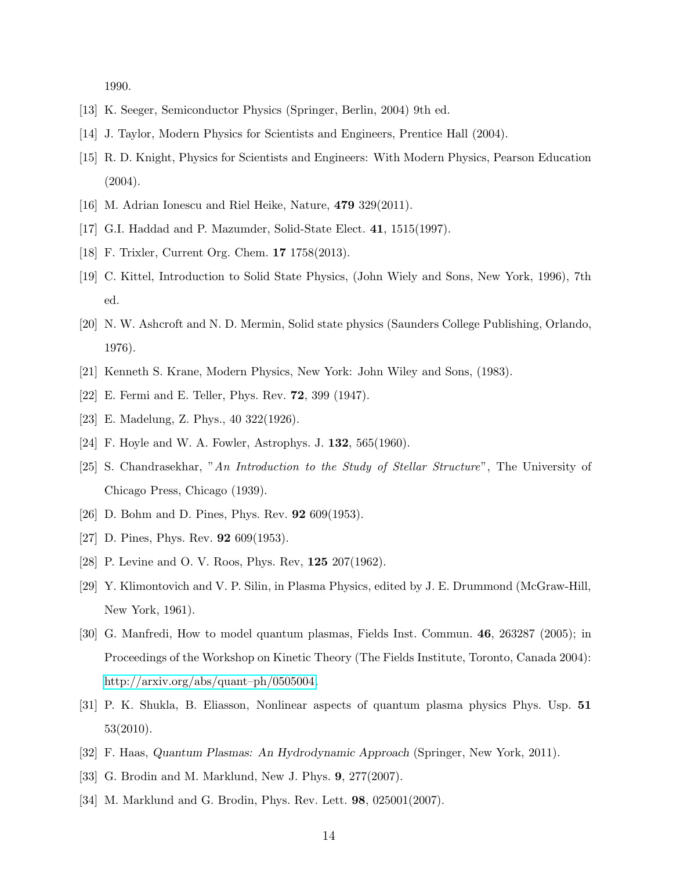1990.

- <span id="page-13-1"></span><span id="page-13-0"></span>[13] K. Seeger, Semiconductor Physics (Springer, Berlin, 2004) 9th ed.
- <span id="page-13-2"></span>[14] J. Taylor, Modern Physics for Scientists and Engineers, Prentice Hall (2004).
- [15] R. D. Knight, Physics for Scientists and Engineers: With Modern Physics, Pearson Education  $(2004).$
- <span id="page-13-4"></span><span id="page-13-3"></span>[16] M. Adrian Ionescu and Riel Heike, Nature, 479 329(2011).
- <span id="page-13-5"></span>[17] G.I. Haddad and P. Mazumder, Solid-State Elect. 41, 1515(1997).
- <span id="page-13-6"></span>[18] F. Trixler, Current Org. Chem. 17 1758(2013).
- [19] C. Kittel, Introduction to Solid State Physics, (John Wiely and Sons, New York, 1996), 7th ed.
- <span id="page-13-7"></span>[20] N. W. Ashcroft and N. D. Mermin, Solid state physics (Saunders College Publishing, Orlando, 1976).
- <span id="page-13-9"></span><span id="page-13-8"></span>[21] Kenneth S. Krane, Modern Physics, New York: John Wiley and Sons, (1983).
- <span id="page-13-10"></span>[22] E. Fermi and E. Teller, Phys. Rev. 72, 399 (1947).
- <span id="page-13-11"></span>[23] E. Madelung, Z. Phys., 40 322(1926).
- <span id="page-13-12"></span>[24] F. Hoyle and W. A. Fowler, Astrophys. J. 132, 565(1960).
- [25] S. Chandrasekhar, "An Introduction to the Study of Stellar Structure", The University of Chicago Press, Chicago (1939).
- <span id="page-13-13"></span>[26] D. Bohm and D. Pines, Phys. Rev. 92 609(1953).
- <span id="page-13-14"></span>[27] D. Pines, Phys. Rev. **92** 609(1953).
- <span id="page-13-15"></span>[28] P. Levine and O. V. Roos, Phys. Rev, 125 207(1962).
- <span id="page-13-16"></span>[29] Y. Klimontovich and V. P. Silin, in Plasma Physics, edited by J. E. Drummond (McGraw-Hill, New York, 1961).
- <span id="page-13-17"></span>[30] G. Manfredi, How to model quantum plasmas, Fields Inst. Commun. 46, 263287 (2005); in Proceedings of the Workshop on Kinetic Theory (The Fields Institute, Toronto, Canada 2004): [http://arxiv.org/abs/quant–ph/0505004.](http://arxiv.org/abs/quant--ph/0505004)
- [31] P. K. Shukla, B. Eliasson, Nonlinear aspects of quantum plasma physics Phys. Usp. 51 53(2010).
- [32] F. Haas, Quantum Plasmas: An Hydrodynamic Approach (Springer, New York, 2011).
- [33] G. Brodin and M. Marklund, New J. Phys. 9, 277(2007).
- [34] M. Marklund and G. Brodin, Phys. Rev. Lett. 98, 025001(2007).